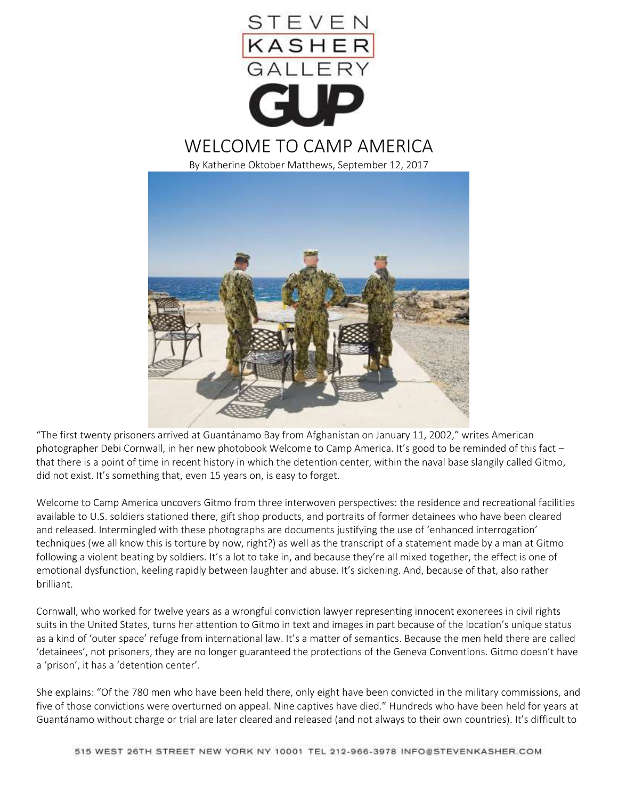

"The first twenty prisoners arrived at Guantánamo Bay from Afghanistan on January 11, 2002," writes American photographer Debi Cornwall, in her new photobook Welcome to Camp America. It's good to be reminded of this fact that there is a point of time in recent history in which the detention center, within the naval base slangily called Gitmo, did not exist. It's something that, even 15 years on, is easy to forget.

Welcome to Camp America uncovers Gitmo from three interwoven perspectives: the residence and recreational facilities available to U.S. soldiers stationed there, gift shop products, and portraits of former detainees who have been cleared and released. Intermingled with these photographs are documents justifying the use of 'enhanced interrogation' techniques (we all know this is torture by now, right?) as well as the transcript of a statement made by a man at Gitmo following a violent beating by soldiers. It's a lot to take in, and because they're all mixed together, the effect is one of emotional dysfunction, keeling rapidly between laughter and abuse. It's sickening. And, because of that, also rather brilliant.

Cornwall, who worked for twelve years as a wrongful conviction lawyer representing innocent exonerees in civil rights suits in the United States, turns her attention to Gitmo in text and images in part because of the location's unique status as a kind of 'outer space' refuge from international law. It's a matter of semantics. Because the men held there are called 'detainees', not prisoners, they are no longer guaranteed the protections of the Geneva Conventions. Gitmo doesn't have a 'prison', it has a 'detention center'.

She explains: "Of the 780 men who have been held there, only eight have been convicted in the military commissions, and five of those convictions were overturned on appeal. Nine captives have died." Hundreds who have been held for years at Guantánamo without charge or trial are later cleared and released (and not always to their own countries). It's difficult to